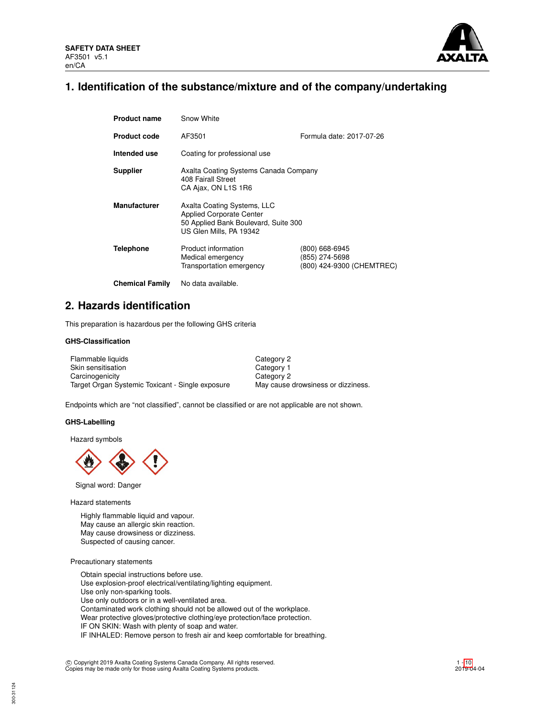

## **1. Identification of the substance/mixture and of the company/undertaking**

| <b>Product name</b>    | Snow White                                                                                                                        |                                                               |  |  |  |
|------------------------|-----------------------------------------------------------------------------------------------------------------------------------|---------------------------------------------------------------|--|--|--|
| <b>Product code</b>    | AF3501                                                                                                                            | Formula date: 2017-07-26                                      |  |  |  |
| Intended use           | Coating for professional use                                                                                                      |                                                               |  |  |  |
| <b>Supplier</b>        | Axalta Coating Systems Canada Company<br>408 Fairall Street<br>CA Ajax, ON L1S 1R6                                                |                                                               |  |  |  |
| <b>Manufacturer</b>    | Axalta Coating Systems, LLC<br><b>Applied Corporate Center</b><br>50 Applied Bank Boulevard, Suite 300<br>US Glen Mills, PA 19342 |                                                               |  |  |  |
| <b>Telephone</b>       | Product information<br>Medical emergency<br>Transportation emergency                                                              | (800) 668-6945<br>(855) 274-5698<br>(800) 424-9300 (CHEMTREC) |  |  |  |
| <b>Chemical Family</b> | No data available.                                                                                                                |                                                               |  |  |  |

## **2. Hazards identification**

This preparation is hazardous per the following GHS criteria

## **GHS-Classification**

| Flammable liquids                                | Category 2                         |
|--------------------------------------------------|------------------------------------|
| Skin sensitisation                               | Category 1                         |
| Carcinogenicity                                  | Category 2                         |
| Target Organ Systemic Toxicant - Single exposure | May cause drowsiness or dizziness. |

Endpoints which are "not classified", cannot be classified or are not applicable are not shown.

#### **GHS-Labelling**

Hazard symbols



Signal word: Danger

Hazard statements

Highly flammable liquid and vapour. May cause an allergic skin reaction. May cause drowsiness or dizziness. Suspected of causing cancer.

Precautionary statements

300-31124

Obtain special instructions before use. Use explosion-proof electrical/ventilating/lighting equipment. Use only non-sparking tools. Use only outdoors or in a well-ventilated area. Contaminated work clothing should not be allowed out of the workplace. Wear protective gloves/protective clothing/eye protection/face protection. IF ON SKIN: Wash with plenty of soap and water. IF INHALED: Remove person to fresh air and keep comfortable for breathing.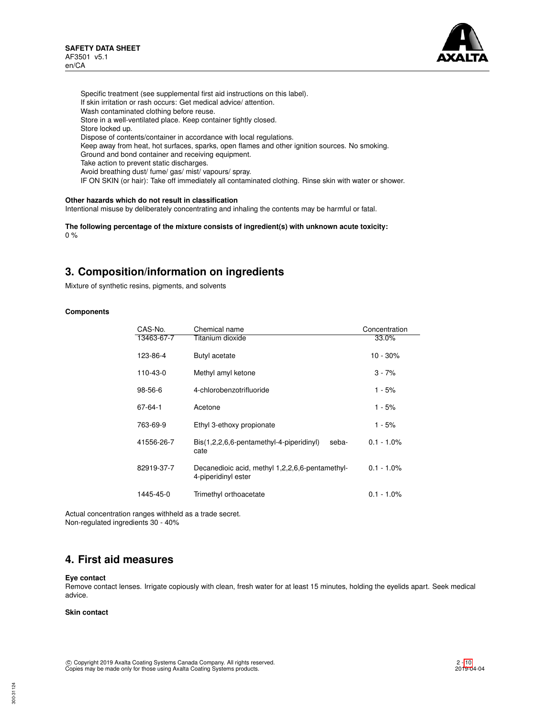

Specific treatment (see supplemental first aid instructions on this label). If skin irritation or rash occurs: Get medical advice/ attention. Wash contaminated clothing before reuse. Store in a well-ventilated place. Keep container tightly closed. Store locked up. Dispose of contents/container in accordance with local regulations. Keep away from heat, hot surfaces, sparks, open flames and other ignition sources. No smoking. Ground and bond container and receiving equipment. Take action to prevent static discharges. Avoid breathing dust/ fume/ gas/ mist/ vapours/ spray. IF ON SKIN (or hair): Take off immediately all contaminated clothing. Rinse skin with water or shower.

## **Other hazards which do not result in classification**

Intentional misuse by deliberately concentrating and inhaling the contents may be harmful or fatal.

**The following percentage of the mixture consists of ingredient(s) with unknown acute toxicity:** 0 %

## **3. Composition/information on ingredients**

Mixture of synthetic resins, pigments, and solvents

### **Components**

| CAS-No.       | Chemical name                                                             | Concentration |
|---------------|---------------------------------------------------------------------------|---------------|
| 13463-67-7    | Titanium dioxide                                                          | 33.0%         |
| 123-86-4      | Butyl acetate                                                             | $10 - 30%$    |
| 110-43-0      | Methyl amyl ketone                                                        | $3 - 7%$      |
| $98 - 56 - 6$ | 4-chlorobenzotrifluoride                                                  | $1 - 5%$      |
| 67-64-1       | Acetone                                                                   | 1 - 5%        |
| 763-69-9      | Ethyl 3-ethoxy propionate                                                 | $1 - 5%$      |
| 41556-26-7    | $\text{Bis}(1,2,2,6,6\text{-}pentamethyl-4-piperidinyl)$<br>seba-<br>cate | $0.1 - 1.0\%$ |
| 82919-37-7    | Decanedioic acid, methyl 1,2,2,6,6-pentamethyl-<br>4-piperidinyl ester    | $0.1 - 1.0\%$ |
| 1445-45-0     | Trimethyl orthoacetate                                                    | $0.1 - 1.0\%$ |

Actual concentration ranges withheld as a trade secret. Non-regulated ingredients 30 - 40%

# **4. First aid measures**

#### **Eye contact**

Remove contact lenses. Irrigate copiously with clean, fresh water for at least 15 minutes, holding the eyelids apart. Seek medical advice.

### **Skin contact**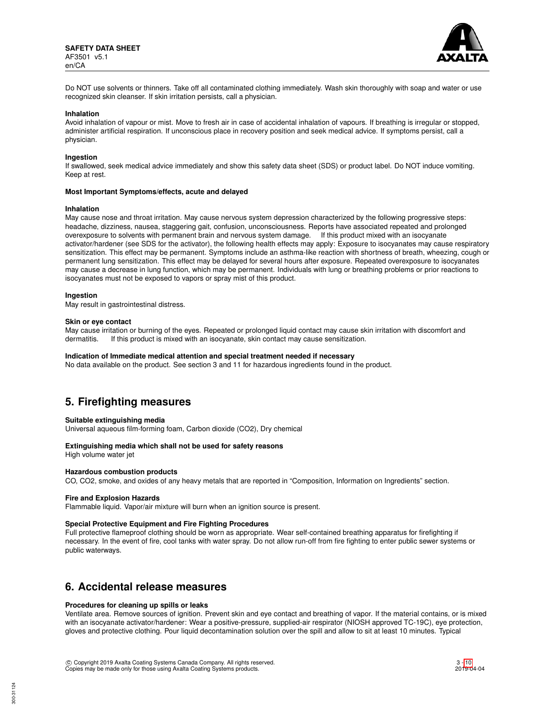

Do NOT use solvents or thinners. Take off all contaminated clothing immediately. Wash skin thoroughly with soap and water or use recognized skin cleanser. If skin irritation persists, call a physician.

#### **Inhalation**

Avoid inhalation of vapour or mist. Move to fresh air in case of accidental inhalation of vapours. If breathing is irregular or stopped, administer artificial respiration. If unconscious place in recovery position and seek medical advice. If symptoms persist, call a physician.

#### **Ingestion**

If swallowed, seek medical advice immediately and show this safety data sheet (SDS) or product label. Do NOT induce vomiting. Keep at rest.

#### **Most Important Symptoms/effects, acute and delayed**

#### **Inhalation**

May cause nose and throat irritation. May cause nervous system depression characterized by the following progressive steps: headache, dizziness, nausea, staggering gait, confusion, unconsciousness. Reports have associated repeated and prolonged overexposure to solvents with permanent brain and nervous system damage. If this product mixed with an isocyanate activator/hardener (see SDS for the activator), the following health effects may apply: Exposure to isocyanates may cause respiratory sensitization. This effect may be permanent. Symptoms include an asthma-like reaction with shortness of breath, wheezing, cough or permanent lung sensitization. This effect may be delayed for several hours after exposure. Repeated overexposure to isocyanates may cause a decrease in lung function, which may be permanent. Individuals with lung or breathing problems or prior reactions to isocyanates must not be exposed to vapors or spray mist of this product.

#### **Ingestion**

May result in gastrointestinal distress.

#### **Skin or eye contact**

May cause irritation or burning of the eyes. Repeated or prolonged liquid contact may cause skin irritation with discomfort and dermatitis. If this product is mixed with an isocyanate, skin contact may cause sensitization.

#### **Indication of Immediate medical attention and special treatment needed if necessary**

No data available on the product. See section 3 and 11 for hazardous ingredients found in the product.

## **5. Firefighting measures**

#### **Suitable extinguishing media**

Universal aqueous film-forming foam, Carbon dioxide (CO2), Dry chemical

## **Extinguishing media which shall not be used for safety reasons**

High volume water jet

## **Hazardous combustion products**

CO, CO2, smoke, and oxides of any heavy metals that are reported in "Composition, Information on Ingredients" section.

#### **Fire and Explosion Hazards**

Flammable liquid. Vapor/air mixture will burn when an ignition source is present.

## **Special Protective Equipment and Fire Fighting Procedures**

Full protective flameproof clothing should be worn as appropriate. Wear self-contained breathing apparatus for firefighting if necessary. In the event of fire, cool tanks with water spray. Do not allow run-off from fire fighting to enter public sewer systems or public waterways.

## **6. Accidental release measures**

#### **Procedures for cleaning up spills or leaks**

Ventilate area. Remove sources of ignition. Prevent skin and eye contact and breathing of vapor. If the material contains, or is mixed with an isocyanate activator/hardener: Wear a positive-pressure, supplied-air respirator (NIOSH approved TC-19C), eye protection, gloves and protective clothing. Pour liquid decontamination solution over the spill and allow to sit at least 10 minutes. Typical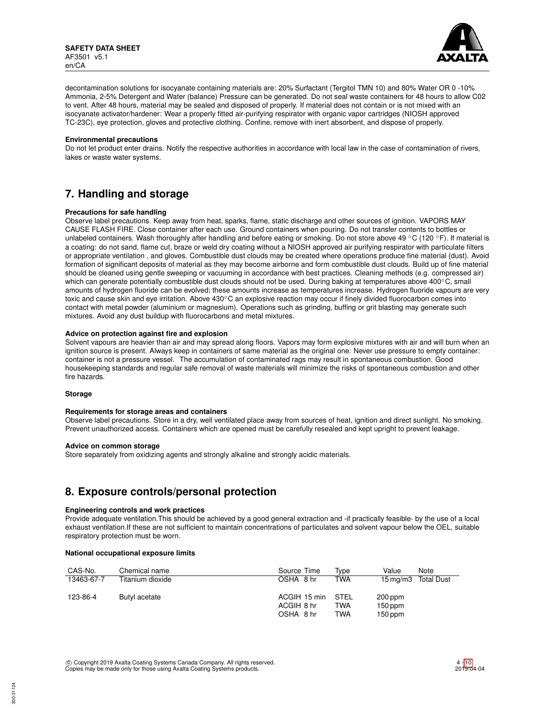

decontamination solutions for isocyanate containing materials are: 20% Surfactant (Tergitol TMN 10) and 80% Water OR 0 -10% Ammonia, 2-5% Detergent and Water (balance) Pressure can be generated. Do not seal waste containers for 48 hours to allow C02 to vent. After 48 hours, material may be sealed and disposed of properly. If material does not contain or is not mixed with an isocyanate activator/hardener: Wear a properly fitted air-purifying respirator with organic vapor cartridges (NIOSH approved TC-23C), eye protection, gloves and protective clothing. Confine, remove with inert absorbent, and dispose of properly.

#### **Environmental precautions**

Do not let product enter drains. Notify the respective authorities in accordance with local law in the case of contamination of rivers, lakes or waste water systems.

# **7. Handling and storage**

## **Precautions for safe handling**

Observe label precautions. Keep away from heat, sparks, flame, static discharge and other sources of ignition. VAPORS MAY CAUSE FLASH FIRE. Close container after each use. Ground containers when pouring. Do not transfer contents to bottles or unlabeled containers. Wash thoroughly after handling and before eating or smoking. Do not store above 49 °C (120 °F). If material is a coating: do not sand, flame cut, braze or weld dry coating without a NIOSH approved air purifying respirator with particulate filters or appropriate ventilation , and gloves. Combustible dust clouds may be created where operations produce fine material (dust). Avoid formation of significant deposits of material as they may become airborne and form combustible dust clouds. Build up of fine material should be cleaned using gentle sweeping or vacuuming in accordance with best practices. Cleaning methods (e.g. compressed air) which can generate potentially combustible dust clouds should not be used. During baking at temperatures above 400℃, small amounts of hydrogen fluoride can be evolved; these amounts increase as temperatures increase. Hydrogen fluoride vapours are very toxic and cause skin and eye irritation. Above 430℃ an explosive reaction may occur if finely divided fluorocarbon comes into contact with metal powder (aluminium or magnesium). Operations such as grinding, buffing or grit blasting may generate such mixtures. Avoid any dust buildup with fluorocarbons and metal mixtures.

## **Advice on protection against fire and explosion**

Solvent vapours are heavier than air and may spread along floors. Vapors may form explosive mixtures with air and will burn when an ignition source is present. Always keep in containers of same material as the original one. Never use pressure to empty container: container is not a pressure vessel. The accumulation of contaminated rags may result in spontaneous combustion. Good housekeeping standards and regular safe removal of waste materials will minimize the risks of spontaneous combustion and other fire hazards.

#### **Storage**

#### **Requirements for storage areas and containers**

Observe label precautions. Store in a dry, well ventilated place away from sources of heat, ignition and direct sunlight. No smoking. Prevent unauthorized access. Containers which are opened must be carefully resealed and kept upright to prevent leakage.

#### **Advice on common storage**

Store separately from oxidizing agents and strongly alkaline and strongly acidic materials.

# **8. Exposure controls/personal protection**

#### **Engineering controls and work practices**

Provide adequate ventilation.This should be achieved by a good general extraction and -if practically feasible- by the use of a local exhaust ventilation.If these are not sufficient to maintain concentrations of particulates and solvent vapour below the OEL, suitable respiratory protection must be worn.

#### **National occupational exposure limits**

| CAS-No.    | Chemical name    | Source Time  | Tvpe       | Value     | Note                |
|------------|------------------|--------------|------------|-----------|---------------------|
| 13463-67-7 | Titanium dioxide | OSHA 8 hr    | <b>TWA</b> |           | 15 mg/m3 Total Dust |
| 123-86-4   | Butyl acetate    | ACGIH 15 min | STEL       | 200 ppm   |                     |
|            |                  | ACGIH 8 hr   | TWA        | $150$ ppm |                     |
|            |                  | OSHA 8 hr    | TWA        | $150$ ppm |                     |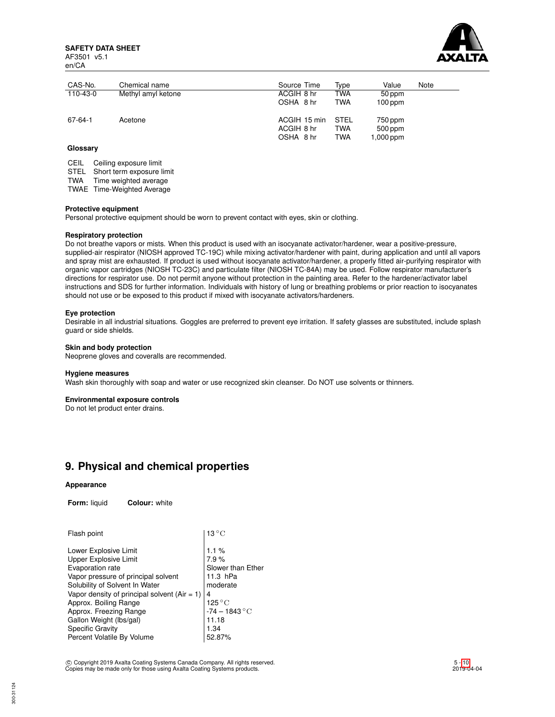**SAFETY DATA SHEET** AF3501 v5.1 en/CA



| CAS-No.  | Chemical name      | Source Time                             | Type                                    | Value                               | Note |
|----------|--------------------|-----------------------------------------|-----------------------------------------|-------------------------------------|------|
| 110-43-0 | Methyl amyl ketone | ACGIH 8 hr                              | <b>TWA</b>                              | 50 ppm                              |      |
|          |                    | OSHA 8 hr                               | <b>TWA</b>                              | $100$ ppm                           |      |
| 67-64-1  | Acetone            | ACGIH 15 min<br>ACGIH 8 hr<br>OSHA 8 hr | <b>STEL</b><br><b>TWA</b><br><b>TWA</b> | 750 ppm<br>$500$ ppm<br>$1,000$ ppm |      |

## **Glossary**

CEIL Ceiling exposure limit

STEL Short term exposure limit

TWA Time weighted average

TWAE Time-Weighted Average

#### **Protective equipment**

Personal protective equipment should be worn to prevent contact with eyes, skin or clothing.

### **Respiratory protection**

Do not breathe vapors or mists. When this product is used with an isocyanate activator/hardener, wear a positive-pressure, supplied-air respirator (NIOSH approved TC-19C) while mixing activator/hardener with paint, during application and until all vapors and spray mist are exhausted. If product is used without isocyanate activator/hardener, a properly fitted air-purifying respirator with organic vapor cartridges (NIOSH TC-23C) and particulate filter (NIOSH TC-84A) may be used. Follow respirator manufacturer's directions for respirator use. Do not permit anyone without protection in the painting area. Refer to the hardener/activator label instructions and SDS for further information. Individuals with history of lung or breathing problems or prior reaction to isocyanates should not use or be exposed to this product if mixed with isocyanate activators/hardeners.

#### **Eye protection**

Desirable in all industrial situations. Goggles are preferred to prevent eye irritation. If safety glasses are substituted, include splash guard or side shields.

## **Skin and body protection**

Neoprene gloves and coveralls are recommended.

#### **Hygiene measures**

Wash skin thoroughly with soap and water or use recognized skin cleanser. Do NOT use solvents or thinners.

#### **Environmental exposure controls**

Do not let product enter drains.

## **9. Physical and chemical properties**

#### **Appearance**

**Form:** liquid **Colour:** white

| Flash point                                                                                                                                                                                                                                                                                                                            | $13^{\circ}$ C                                                                                                                            |
|----------------------------------------------------------------------------------------------------------------------------------------------------------------------------------------------------------------------------------------------------------------------------------------------------------------------------------------|-------------------------------------------------------------------------------------------------------------------------------------------|
| Lower Explosive Limit<br>Upper Explosive Limit<br>Evaporation rate<br>Vapor pressure of principal solvent<br>Solubility of Solvent In Water<br>Vapor density of principal solvent ( $Air = 1$ )<br>Approx. Boiling Range<br>Approx. Freezing Range<br>Gallon Weight (lbs/gal)<br><b>Specific Gravity</b><br>Percent Volatile By Volume | 1.1%<br>7.9%<br>Slower than Ether<br>11.3 hPa<br>moderate<br>4<br>$125\,^{\circ}\mathrm{C}$<br>$-74 - 1843$ °C<br>11.18<br>1.34<br>52.87% |
|                                                                                                                                                                                                                                                                                                                                        |                                                                                                                                           |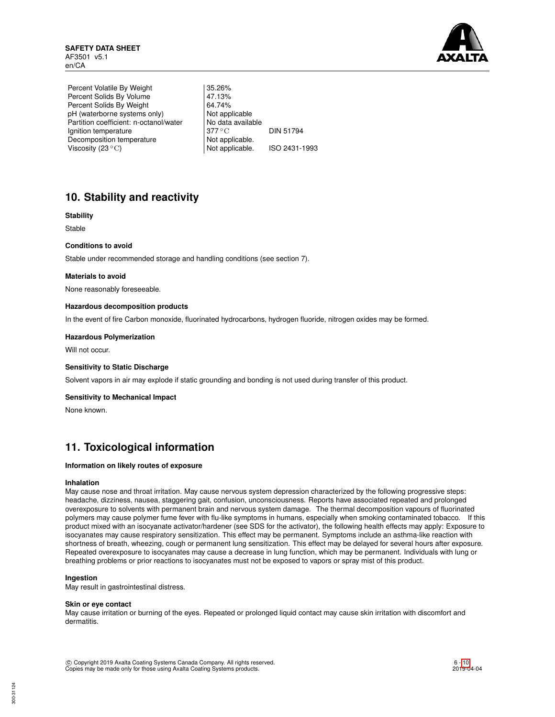

Percent Volatile By Weight | 35.26% Percent Solids By Volume 47.13%<br>Percent Solids By Weight 64.74% Percent Solids By Weight 64.74%<br>
pH (waterborne systems only) Not applicable pH (waterborne systems only) Partition coefficient: n-octanol/water | No data available Ignition temperature 377 °C DIN 51794 Decomposition temperature Not applicable.<br>Viscosity (23 °C) Not applicable. Viscosity  $(23 °C)$  Not applicable. ISO 2431-1993

# **10. Stability and reactivity**

## **Stability**

Stable

## **Conditions to avoid**

Stable under recommended storage and handling conditions (see section 7).

### **Materials to avoid**

None reasonably foreseeable.

### **Hazardous decomposition products**

In the event of fire Carbon monoxide, fluorinated hydrocarbons, hydrogen fluoride, nitrogen oxides may be formed.

### **Hazardous Polymerization**

Will not occur.

#### **Sensitivity to Static Discharge**

Solvent vapors in air may explode if static grounding and bonding is not used during transfer of this product.

#### **Sensitivity to Mechanical Impact**

None known.

# **11. Toxicological information**

### **Information on likely routes of exposure**

#### **Inhalation**

May cause nose and throat irritation. May cause nervous system depression characterized by the following progressive steps: headache, dizziness, nausea, staggering gait, confusion, unconsciousness. Reports have associated repeated and prolonged overexposure to solvents with permanent brain and nervous system damage. The thermal decomposition vapours of fluorinated polymers may cause polymer fume fever with flu-like symptoms in humans, especially when smoking contaminated tobacco. If this product mixed with an isocyanate activator/hardener (see SDS for the activator), the following health effects may apply: Exposure to isocyanates may cause respiratory sensitization. This effect may be permanent. Symptoms include an asthma-like reaction with shortness of breath, wheezing, cough or permanent lung sensitization. This effect may be delayed for several hours after exposure. Repeated overexposure to isocyanates may cause a decrease in lung function, which may be permanent. Individuals with lung or breathing problems or prior reactions to isocyanates must not be exposed to vapors or spray mist of this product.

## **Ingestion**

May result in gastrointestinal distress.

#### **Skin or eye contact**

May cause irritation or burning of the eyes. Repeated or prolonged liquid contact may cause skin irritation with discomfort and dermatitis.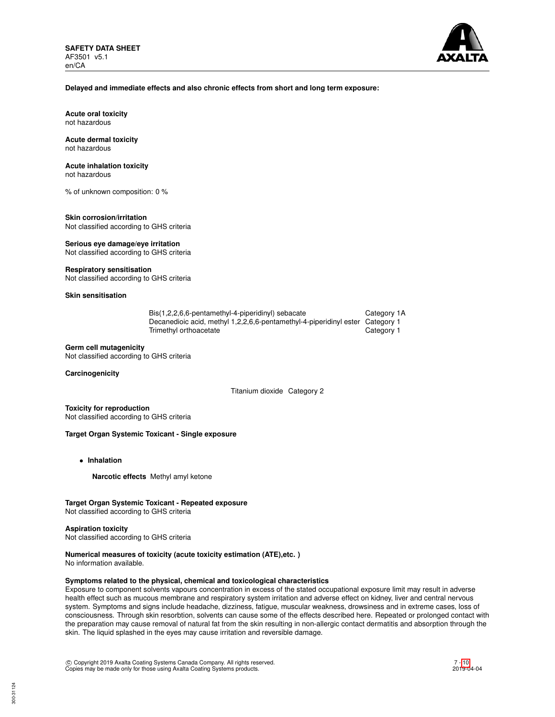

### **Delayed and immediate effects and also chronic effects from short and long term exposure:**

**Acute oral toxicity** not hazardous

#### **Acute dermal toxicity** not hazardous

## **Acute inhalation toxicity**

not hazardous

% of unknown composition: 0 %

#### **Skin corrosion/irritation** Not classified according to GHS criteria

**Serious eye damage/eye irritation**

Not classified according to GHS criteria

## **Respiratory sensitisation**

Not classified according to GHS criteria

## **Skin sensitisation**

| Bis(1,2,2,6,6-pentamethyl-4-piperidinyl) sebacate                             | Category 1A |
|-------------------------------------------------------------------------------|-------------|
| Decanedioic acid, methyl 1,2,2,6,6-pentamethyl-4-piperidinyl ester Category 1 |             |
| Trimethyl orthoacetate                                                        | Category 1  |

## **Germ cell mutagenicity**

Not classified according to GHS criteria

### **Carcinogenicity**

Titanium dioxide Category 2

**Toxicity for reproduction** Not classified according to GHS criteria

## **Target Organ Systemic Toxicant - Single exposure**

- **Inhalation**
	- **Narcotic effects** Methyl amyl ketone

## **Target Organ Systemic Toxicant - Repeated exposure**

Not classified according to GHS criteria

#### **Aspiration toxicity**

Not classified according to GHS criteria

## **Numerical measures of toxicity (acute toxicity estimation (ATE),etc. )**

No information available.

## **Symptoms related to the physical, chemical and toxicological characteristics**

Exposure to component solvents vapours concentration in excess of the stated occupational exposure limit may result in adverse health effect such as mucous membrane and respiratory system irritation and adverse effect on kidney, liver and central nervous system. Symptoms and signs include headache, dizziness, fatigue, muscular weakness, drowsiness and in extreme cases, loss of consciousness. Through skin resorbtion, solvents can cause some of the effects described here. Repeated or prolonged contact with the preparation may cause removal of natural fat from the skin resulting in non-allergic contact dermatitis and absorption through the skin. The liquid splashed in the eyes may cause irritation and reversible damage.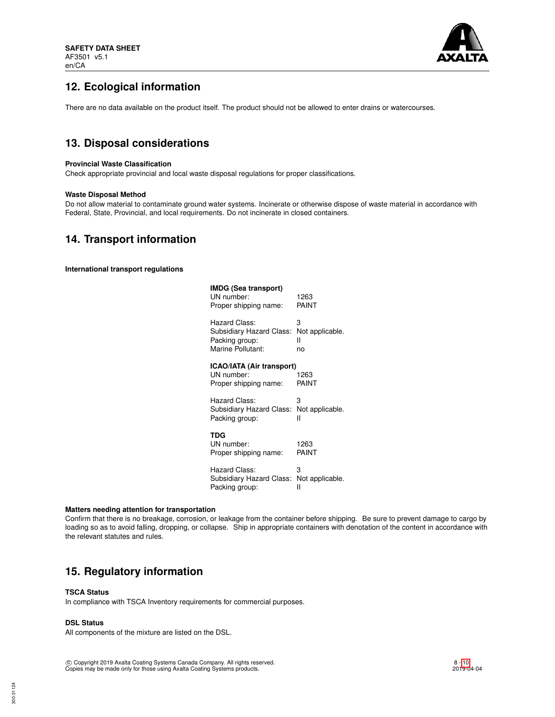

# **12. Ecological information**

There are no data available on the product itself. The product should not be allowed to enter drains or watercourses.

# **13. Disposal considerations**

## **Provincial Waste Classification**

Check appropriate provincial and local waste disposal regulations for proper classifications.

### **Waste Disposal Method**

Do not allow material to contaminate ground water systems. Incinerate or otherwise dispose of waste material in accordance with Federal, State, Provincial, and local requirements. Do not incinerate in closed containers.

## **14. Transport information**

**International transport regulations**

| IMDG (Sea transport)<br>UN number:<br>Proper shipping name:      | 1263<br>PAINT   |
|------------------------------------------------------------------|-----------------|
| Hazard Class:                                                    | 3               |
| Subsidiary Hazard Class:                                         | Not applicable. |
| Packing group:                                                   | н               |
| Marine Pollutant:                                                | no              |
| ICAO/IATA (Air transport)<br>UN number:<br>Proper shipping name: | 1263<br>PAINT   |
| Hazard Class:                                                    | 3               |
| Subsidiary Hazard Class:                                         | Not applicable. |
| Packing group:                                                   | н               |
| TDG<br>UN number:<br>Proper shipping name:                       | 1263<br>PAINT   |
| Hazard Class:                                                    | 3               |
| Subsidiary Hazard Class:                                         | Not applicable. |
| Packing group:                                                   | н               |

#### **Matters needing attention for transportation**

Confirm that there is no breakage, corrosion, or leakage from the container before shipping. Be sure to prevent damage to cargo by loading so as to avoid falling, dropping, or collapse. Ship in appropriate containers with denotation of the content in accordance with the relevant statutes and rules.

# **15. Regulatory information**

## **TSCA Status**

In compliance with TSCA Inventory requirements for commercial purposes.

## **DSL Status**

All components of the mixture are listed on the DSL.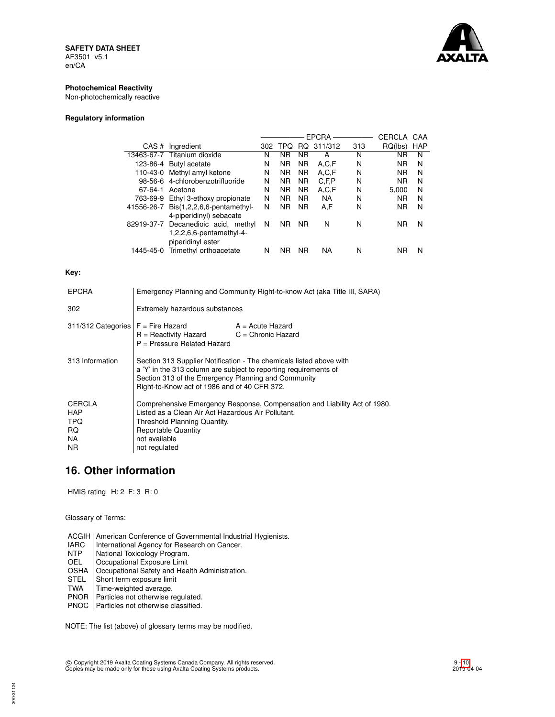

## **Photochemical Reactivity**

Non-photochemically reactive

## **Regulatory information**

|            |                                  |     |                |           | <b>EPCRA</b> |     | CERCLA    | CAA        |
|------------|----------------------------------|-----|----------------|-----------|--------------|-----|-----------|------------|
| CAS#       | Ingredient                       | 302 | <b>TPO</b>     | RQ.       | 311/312      | 313 | RQ(lbs)   | <b>HAP</b> |
|            | 13463-67-7 Titanium dioxide      | N   | ΝR             | <b>NR</b> | А            | N   | ΝR        | N          |
|            | 123-86-4 Butyl acetate           | N   | <b>NR</b>      | <b>NR</b> | A,C,F        | N   | <b>NR</b> | N          |
|            | 110-43-0 Methyl amyl ketone      | N   | <b>NR</b>      | <b>NR</b> | A,C,F        | N   | <b>NR</b> | N          |
|            | 98-56-6 4-chlorobenzotrifluoride | Ν   | <b>NR</b>      | <b>NR</b> | C, F, P      | N   | <b>NR</b> | N          |
| 67-64-1    | Acetone                          | N   | N <sub>R</sub> | <b>NR</b> | A,C,F        | N   | 5.000     | N          |
| 763-69-9   | Ethyl 3-ethoxy propionate        | Ν   | N <sub>R</sub> | <b>NR</b> | <b>NA</b>    | N   | <b>NR</b> | N          |
| 41556-26-7 | $Dis(1,2,2,6,6$ -pentamethyl-    | Ν   | <b>NR</b>      | <b>NR</b> | A.F          | N   | <b>NR</b> | N          |
|            | 4-piperidinyl) sebacate          |     |                |           |              |     |           |            |
| 82919-37-7 | Decanedioic acid, methyl         | N   | <b>NR</b>      | <b>NR</b> | N            | N   | <b>NR</b> | N          |
|            | $1,2,2,6,6$ -pentamethyl-4-      |     |                |           |              |     |           |            |
|            | piperidinyl ester                |     |                |           |              |     |           |            |
| 1445-45-0  | Trimethyl orthoacetate           | N   | ΝR             | <b>NR</b> | NA           | N   | ΝR        | N          |
|            |                                  |     |                |           |              |     |           |            |

## **Key:**

| <b>EPCRA</b>                                             | Emergency Planning and Community Right-to-know Act (aka Title III, SARA)                                                                                                                                                                       |                    |  |
|----------------------------------------------------------|------------------------------------------------------------------------------------------------------------------------------------------------------------------------------------------------------------------------------------------------|--------------------|--|
| 302                                                      | Extremely hazardous substances                                                                                                                                                                                                                 |                    |  |
| $311/312$ Categories $F =$ Fire Hazard                   | $R =$ Reactivity Hazard $C =$ Chronic Hazard<br>P = Pressure Related Hazard                                                                                                                                                                    | $A = Acute$ Hazard |  |
| 313 Information                                          | Section 313 Supplier Notification - The chemicals listed above with<br>a 'Y' in the 313 column are subject to reporting requirements of<br>Section 313 of the Emergency Planning and Community<br>Right-to-Know act of 1986 and of 40 CFR 372. |                    |  |
| <b>CERCLA</b><br><b>HAP</b><br>TPQ.<br>RQ.<br>NA.<br>NR. | Comprehensive Emergency Response, Compensation and Liability Act of 1980.<br>Listed as a Clean Air Act Hazardous Air Pollutant.<br>Threshold Planning Quantity.<br><b>Reportable Quantity</b><br>not available<br>not regulated                |                    |  |

# **16. Other information**

HMIS rating H: 2 F: 3 R: 0

Glossary of Terms:

- ACGIH | American Conference of Governmental Industrial Hygienists.<br>
IARC | International Agency for Research on Cancer.
- IARC | International Agency for Research on Cancer.<br>
NTP | National Toxicology Program.
- NTP National Toxicology Program.<br>OEL Cocupational Exposure Limit
- Occupational Exposure Limit
- OSHA | Occupational Safety and Health Administration.<br>STEL | Short term exposure limit
- STEL Short term exposure limit<br>TWA Time-weighted average.
- Time-weighted average.
- PNOR Particles not otherwise regulated.
- PNOC Particles not otherwise classified.

NOTE: The list (above) of glossary terms may be modified.